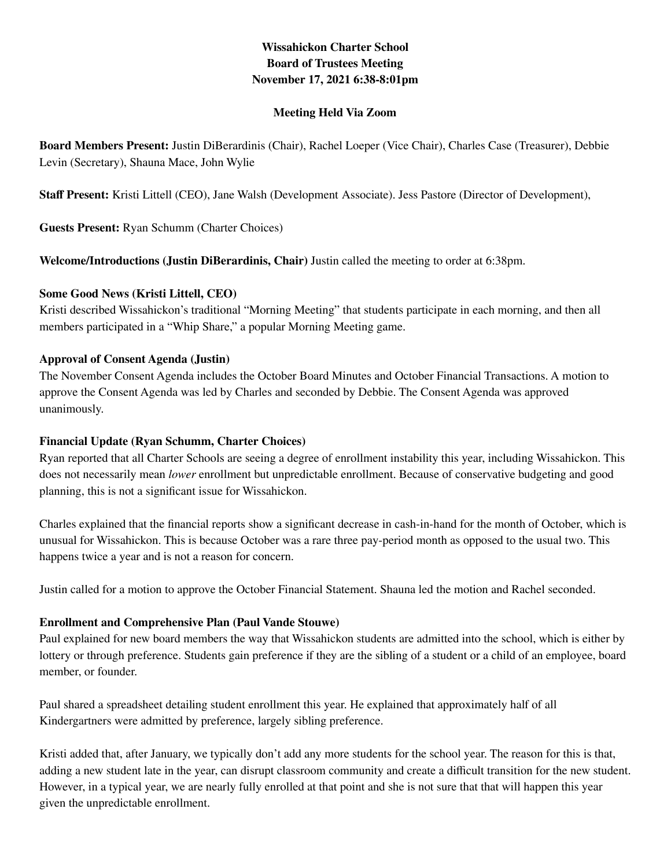# **Wissahickon Charter School Board of Trustees Meeting November 17, 2021 6:38-8:01pm**

#### **Meeting Held Via Zoom**

**Board Members Present:** Justin DiBerardinis (Chair), Rachel Loeper (Vice Chair), Charles Case (Treasurer), Debbie Levin (Secretary), Shauna Mace, John Wylie

**Staff Present:** Kristi Littell (CEO), Jane Walsh (Development Associate). Jess Pastore (Director of Development),

**Guests Present:** Ryan Schumm (Charter Choices)

**Welcome/Introductions (Justin DiBerardinis, Chair)** Justin called the meeting to order at 6:38pm.

#### **Some Good News (Kristi Littell, CEO)**

Kristi described Wissahickon's traditional "Morning Meeting" that students participate in each morning, and then all members participated in a "Whip Share," a popular Morning Meeting game.

#### **Approval of Consent Agenda (Justin)**

The November Consent Agenda includes the October Board Minutes and October Financial Transactions. A motion to approve the Consent Agenda was led by Charles and seconded by Debbie. The Consent Agenda was approved unanimously.

### **Financial Update (Ryan Schumm, Charter Choices)**

Ryan reported that all Charter Schools are seeing a degree of enrollment instability this year, including Wissahickon. This does not necessarily mean *lower* enrollment but unpredictable enrollment. Because of conservative budgeting and good planning, this is not a significant issue for Wissahickon.

Charles explained that the financial reports show a significant decrease in cash-in-hand for the month of October, which is unusual for Wissahickon. This is because October was a rare three pay-period month as opposed to the usual two. This happens twice a year and is not a reason for concern.

Justin called for a motion to approve the October Financial Statement. Shauna led the motion and Rachel seconded.

### **Enrollment and Comprehensive Plan (Paul Vande Stouwe)**

Paul explained for new board members the way that Wissahickon students are admitted into the school, which is either by lottery or through preference. Students gain preference if they are the sibling of a student or a child of an employee, board member, or founder.

Paul shared a spreadsheet detailing student enrollment this year. He explained that approximately half of all Kindergartners were admitted by preference, largely sibling preference.

Kristi added that, after January, we typically don't add any more students for the school year. The reason for this is that, adding a new student late in the year, can disrupt classroom community and create a difficult transition for the new student. However, in a typical year, we are nearly fully enrolled at that point and she is not sure that that will happen this year given the unpredictable enrollment.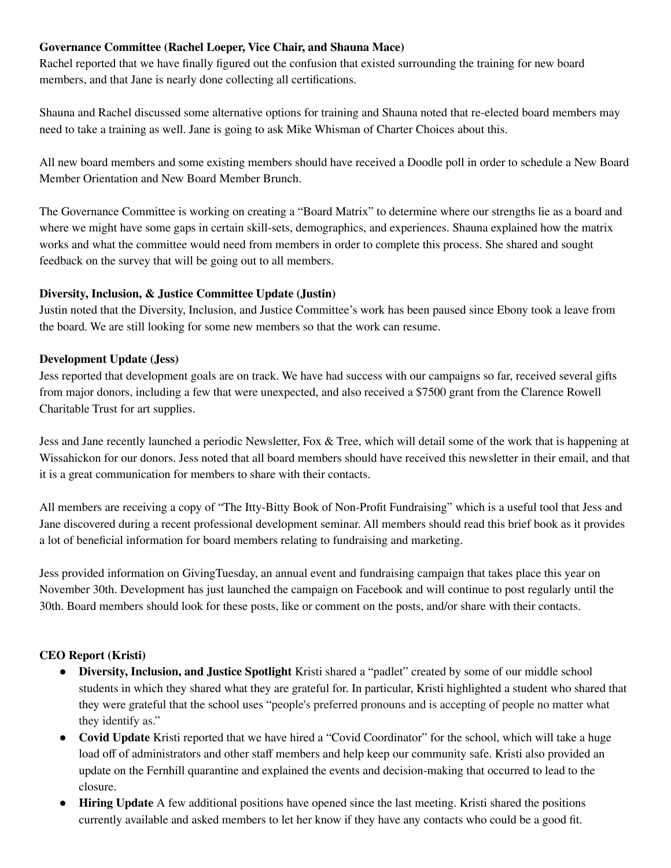### **Governance Committee (Rachel Loeper, Vice Chair, and Shauna Mace)**

Rachel reported that we have finally figured out the confusion that existed surrounding the training for new board members, and that Jane is nearly done collecting all certifications.

Shauna and Rachel discussed some alternative options for training and Shauna noted that re-elected board members may need to take a training as well. Jane is going to ask Mike Whisman of Charter Choices about this.

All new board members and some existing members should have received a Doodle poll in order to schedule a New Board Member Orientation and New Board Member Brunch.

The Governance Committee is working on creating a "Board Matrix" to determine where our strengths lie as a board and where we might have some gaps in certain skill-sets, demographics, and experiences. Shauna explained how the matrix works and what the committee would need from members in order to complete this process. She shared and sought feedback on the survey that will be going out to all members.

## **Diversity, Inclusion, & Justice Committee Update (Justin)**

Justin noted that the Diversity, Inclusion, and Justice Committee's work has been paused since Ebony took a leave from the board. We are still looking for some new members so that the work can resume.

## **Development Update (Jess)**

Jess reported that development goals are on track. We have had success with our campaigns so far, received several gifts from major donors, including a few that were unexpected, and also received a \$7500 grant from the Clarence Rowell Charitable Trust for art supplies.

Jess and Jane recently launched a periodic Newsletter, Fox & Tree, which will detail some of the work that is happening at Wissahickon for our donors. Jess noted that all board members should have received this newsletter in their email, and that it is a great communication for members to share with their contacts.

All members are receiving a copy of "The Itty-Bitty Book of Non-Profit Fundraising" which is a useful tool that Jess and Jane discovered during a recent professional development seminar. All members should read this brief book as it provides a lot of beneficial information for board members relating to fundraising and marketing.

Jess provided information on GivingTuesday, an annual event and fundraising campaign that takes place this year on November 30th. Development has just launched the campaign on Facebook and will continue to post regularly until the 30th. Board members should look for these posts, like or comment on the posts, and/or share with their contacts.

# **CEO Report (Kristi)**

- **Diversity, Inclusion, and Justice Spotlight** Kristi shared a "padlet" created by some of our middle school students in which they shared what they are grateful for. In particular, Kristi highlighted a student who shared that they were grateful that the school uses "people's preferred pronouns and is accepting of people no matter what they identify as."
- **● Covid Update** Kristi reported that we have hired a "Covid Coordinator" for the school, which will take a huge load off of administrators and other staff members and help keep our community safe. Kristi also provided an update on the Fernhill quarantine and explained the events and decision-making that occurred to lead to the closure.
- **Hiring Update** A few additional positions have opened since the last meeting. Kristi shared the positions currently available and asked members to let her know if they have any contacts who could be a good fit.